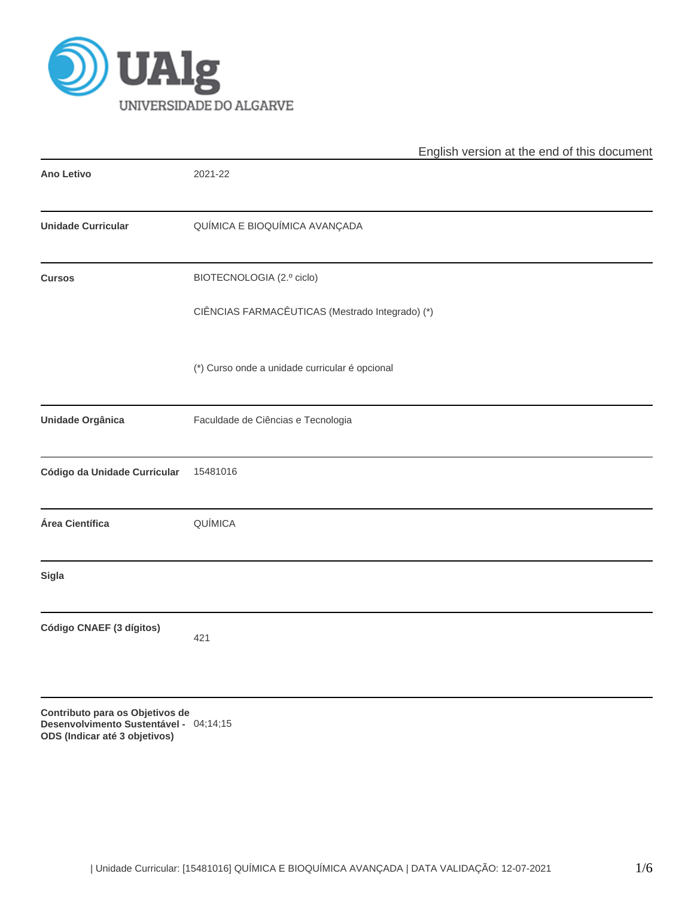

|                                 | English version at the end of this document     |
|---------------------------------|-------------------------------------------------|
| <b>Ano Letivo</b>               | 2021-22                                         |
| <b>Unidade Curricular</b>       | QUÍMICA E BIOQUÍMICA AVANÇADA                   |
| <b>Cursos</b>                   | BIOTECNOLOGIA (2.º ciclo)                       |
|                                 | CIÊNCIAS FARMACÊUTICAS (Mestrado Integrado) (*) |
|                                 | (*) Curso onde a unidade curricular é opcional  |
| <b>Unidade Orgânica</b>         | Faculdade de Ciências e Tecnologia              |
| Código da Unidade Curricular    | 15481016                                        |
| Área Científica                 | QUÍMICA                                         |
| <b>Sigla</b>                    |                                                 |
| Código CNAEF (3 dígitos)        | 421                                             |
| Contributo para os Objetivos de |                                                 |

**Desenvolvimento Sustentável -** 04;14;15**ODS (Indicar até 3 objetivos)**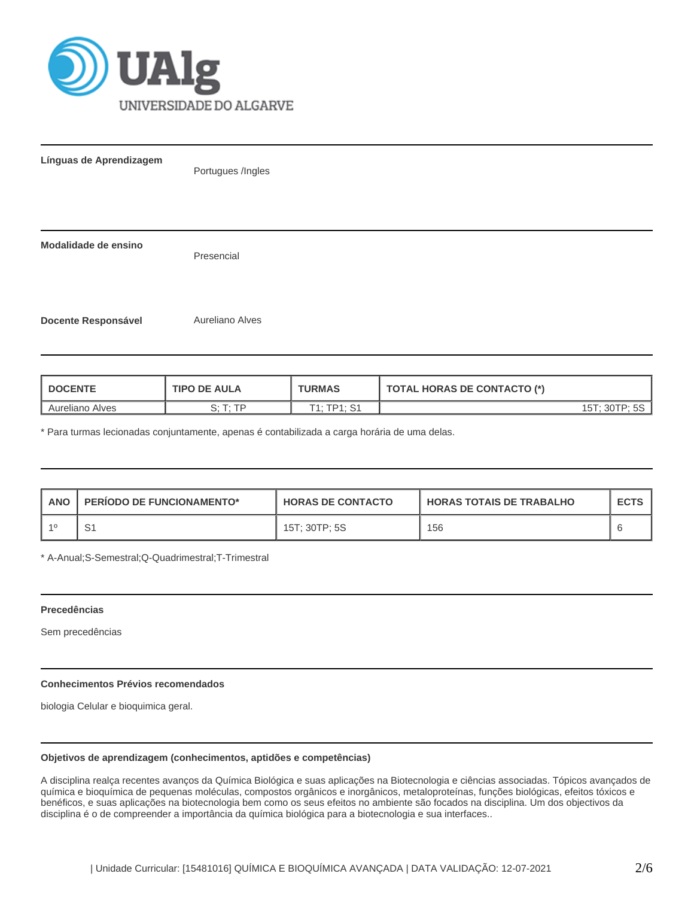

| Línguas de Aprendizagem    | Portugues /Ingles |  |  |  |  |  |  |
|----------------------------|-------------------|--|--|--|--|--|--|
| Modalidade de ensino       | Presencial        |  |  |  |  |  |  |
| <b>Docente Responsável</b> | Aureliano Alves   |  |  |  |  |  |  |

| <b>I DOCENTE</b>       | <b>TIPO DE AULA</b> | <b>TURMAS</b> | <b>TOTAL HORAS DE CONTACTO (*)</b> |
|------------------------|---------------------|---------------|------------------------------------|
| <b>Aureliano Alves</b> | T. TD               | T1. TD1. S1   | 15T: 30TP: 5S                      |

\* Para turmas lecionadas conjuntamente, apenas é contabilizada a carga horária de uma delas.

| <b>ANO</b> | <b>PERIODO DE FUNCIONAMENTO*</b> | <b>HORAS DE CONTACTO</b> | I HORAS TOTAIS DE TRABALHO | <b>ECTS</b> |
|------------|----------------------------------|--------------------------|----------------------------|-------------|
| -10        | ا ب                              | $15$ T; 30TP; 5S         | 156                        |             |

\* A-Anual;S-Semestral;Q-Quadrimestral;T-Trimestral

## **Precedências**

Sem precedências

## **Conhecimentos Prévios recomendados**

biologia Celular e bioquimica geral.

# **Objetivos de aprendizagem (conhecimentos, aptidões e competências)**

A disciplina realça recentes avanços da Química Biológica e suas aplicações na Biotecnologia e ciências associadas. Tópicos avançados de química e bioquímica de pequenas moléculas, compostos orgânicos e inorgânicos, metaloproteínas, funções biológicas, efeitos tóxicos e benéficos, e suas aplicações na biotecnologia bem como os seus efeitos no ambiente são focados na disciplina. Um dos objectivos da disciplina é o de compreender a importância da química biológica para a biotecnologia e sua interfaces..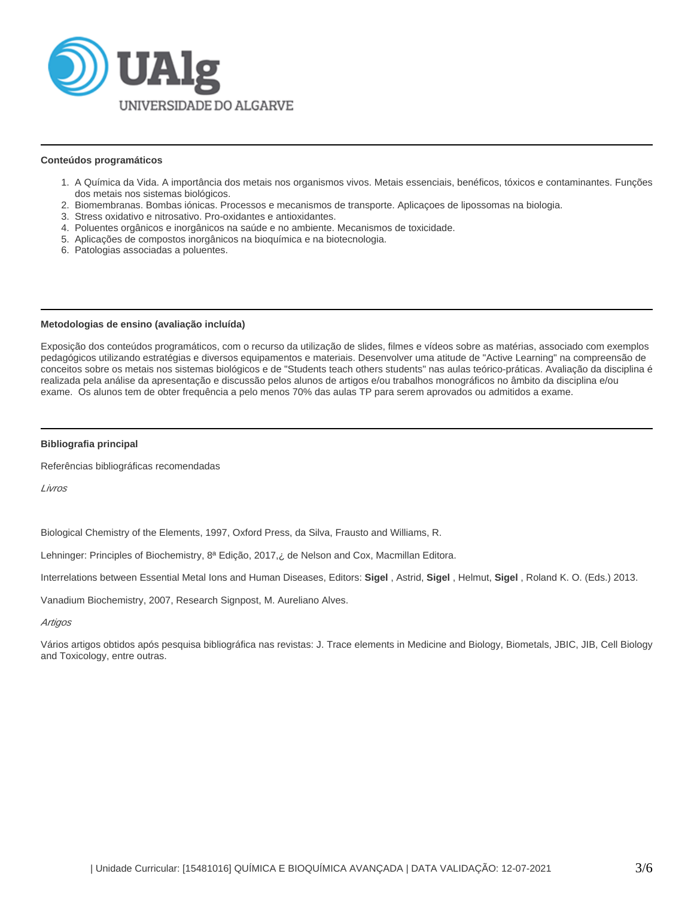

#### **Conteúdos programáticos**

- 1. A Química da Vida. A importância dos metais nos organismos vivos. Metais essenciais, benéficos, tóxicos e contaminantes. Funções dos metais nos sistemas biológicos.
- 2. Biomembranas. Bombas iónicas. Processos e mecanismos de transporte. Aplicaçoes de lipossomas na biologia.
- 3. Stress oxidativo e nitrosativo. Pro-oxidantes e antioxidantes.
- 4. Poluentes orgânicos e inorgânicos na saúde e no ambiente. Mecanismos de toxicidade.
- 5. Aplicações de compostos inorgânicos na bioquímica e na biotecnologia.
- 6. Patologias associadas a poluentes.

#### **Metodologias de ensino (avaliação incluída)**

Exposição dos conteúdos programáticos, com o recurso da utilização de slides, filmes e vídeos sobre as matérias, associado com exemplos pedagógicos utilizando estratégias e diversos equipamentos e materiais. Desenvolver uma atitude de "Active Learning" na compreensão de conceitos sobre os metais nos sistemas biológicos e de "Students teach others students" nas aulas teórico-práticas. Avaliação da disciplina é realizada pela análise da apresentação e discussão pelos alunos de artigos e/ou trabalhos monográficos no âmbito da disciplina e/ou exame. Os alunos tem de obter frequência a pelo menos 70% das aulas TP para serem aprovados ou admitidos a exame.

#### **Bibliografia principal**

Referências bibliográficas recomendadas

Livros

Biological Chemistry of the Elements, 1997, Oxford Press, da Silva, Frausto and Williams, R.

Lehninger: Principles of Biochemistry, 8ª Edição, 2017,¿ de Nelson and Cox, Macmillan Editora.

Interrelations between Essential Metal Ions and Human Diseases, Editors: **Sigel** , Astrid, **Sigel** , Helmut, **Sigel** , Roland K. O. (Eds.) 2013.

Vanadium Biochemistry, 2007, Research Signpost, M. Aureliano Alves.

#### **Artigos**

Vários artigos obtidos após pesquisa bibliográfica nas revistas: J. Trace elements in Medicine and Biology, Biometals, JBIC, JIB, Cell Biology and Toxicology, entre outras.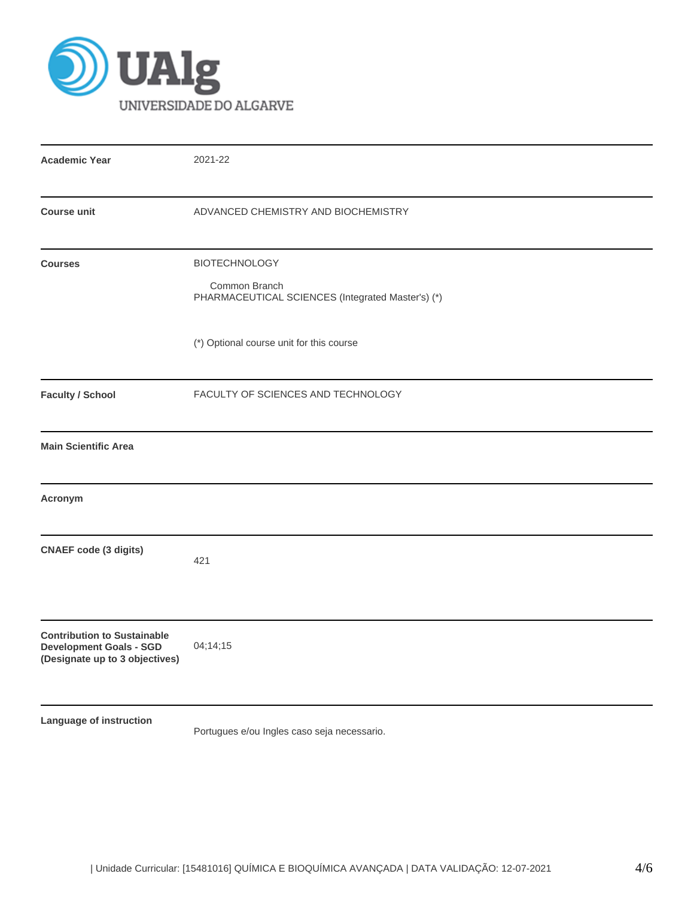

| <b>Academic Year</b>                                                                                   | 2021-22                                                                                    |  |  |  |  |  |
|--------------------------------------------------------------------------------------------------------|--------------------------------------------------------------------------------------------|--|--|--|--|--|
| <b>Course unit</b>                                                                                     | ADVANCED CHEMISTRY AND BIOCHEMISTRY                                                        |  |  |  |  |  |
| <b>Courses</b>                                                                                         | <b>BIOTECHNOLOGY</b><br>Common Branch<br>PHARMACEUTICAL SCIENCES (Integrated Master's) (*) |  |  |  |  |  |
|                                                                                                        | (*) Optional course unit for this course                                                   |  |  |  |  |  |
| <b>Faculty / School</b>                                                                                | FACULTY OF SCIENCES AND TECHNOLOGY                                                         |  |  |  |  |  |
| <b>Main Scientific Area</b>                                                                            |                                                                                            |  |  |  |  |  |
| Acronym                                                                                                |                                                                                            |  |  |  |  |  |
| <b>CNAEF code (3 digits)</b>                                                                           | 421                                                                                        |  |  |  |  |  |
| <b>Contribution to Sustainable</b><br><b>Development Goals - SGD</b><br>(Designate up to 3 objectives) | 04;14;15                                                                                   |  |  |  |  |  |
| Language of instruction                                                                                | Portugues e/ou Ingles caso seja necessario.                                                |  |  |  |  |  |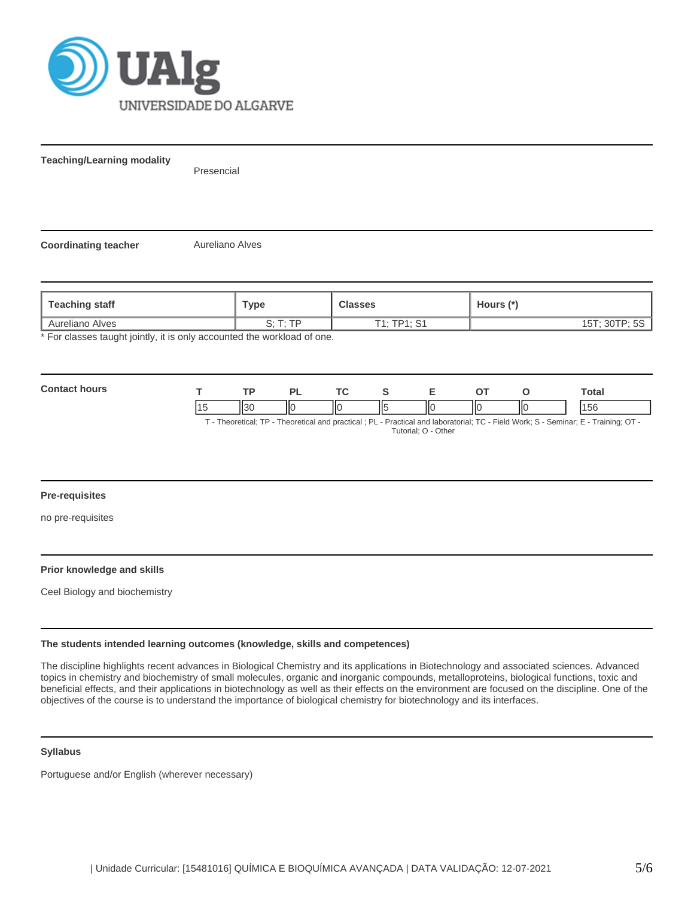

**Teaching/Learning modality**

Presencial

**Coordinating teacher Aureliano Alves** 

| Teaching staff                                                        | ™ype     | <b>Classes</b> | Hours (*)     |  |  |  |
|-----------------------------------------------------------------------|----------|----------------|---------------|--|--|--|
| Aureliano Alves                                                       | C. T. TD | T1: TP1: S1    | 15T; 30TP; 5S |  |  |  |
| * For classes taught jointly it is only accounted the workload of one |          |                |               |  |  |  |

\* For classes taught jointly, it is only accounted the workload of one.

| Con<br><b>OULS</b> |                      | וח | $\mathbf{r}$ |                             |   | Total |
|--------------------|----------------------|----|--------------|-----------------------------|---|-------|
|                    | $\mathsf{I}$<br>יטוו | Ш  | IІC          | $\mathsf{I}\mathsf{C}$<br>Ш | ю | .56   |

T - Theoretical; TP - Theoretical and practical ; PL - Practical and laboratorial; TC - Field Work; S - Seminar; E - Training; OT - Tutorial; O - Other

## **Pre-requisites**

no pre-requisites

## **Prior knowledge and skills**

Ceel Biology and biochemistry

#### **The students intended learning outcomes (knowledge, skills and competences)**

The discipline highlights recent advances in Biological Chemistry and its applications in Biotechnology and associated sciences. Advanced topics in chemistry and biochemistry of small molecules, organic and inorganic compounds, metalloproteins, biological functions, toxic and beneficial effects, and their applications in biotechnology as well as their effects on the environment are focused on the discipline. One of the objectives of the course is to understand the importance of biological chemistry for biotechnology and its interfaces.

#### **Syllabus**

Portuguese and/or English (wherever necessary)